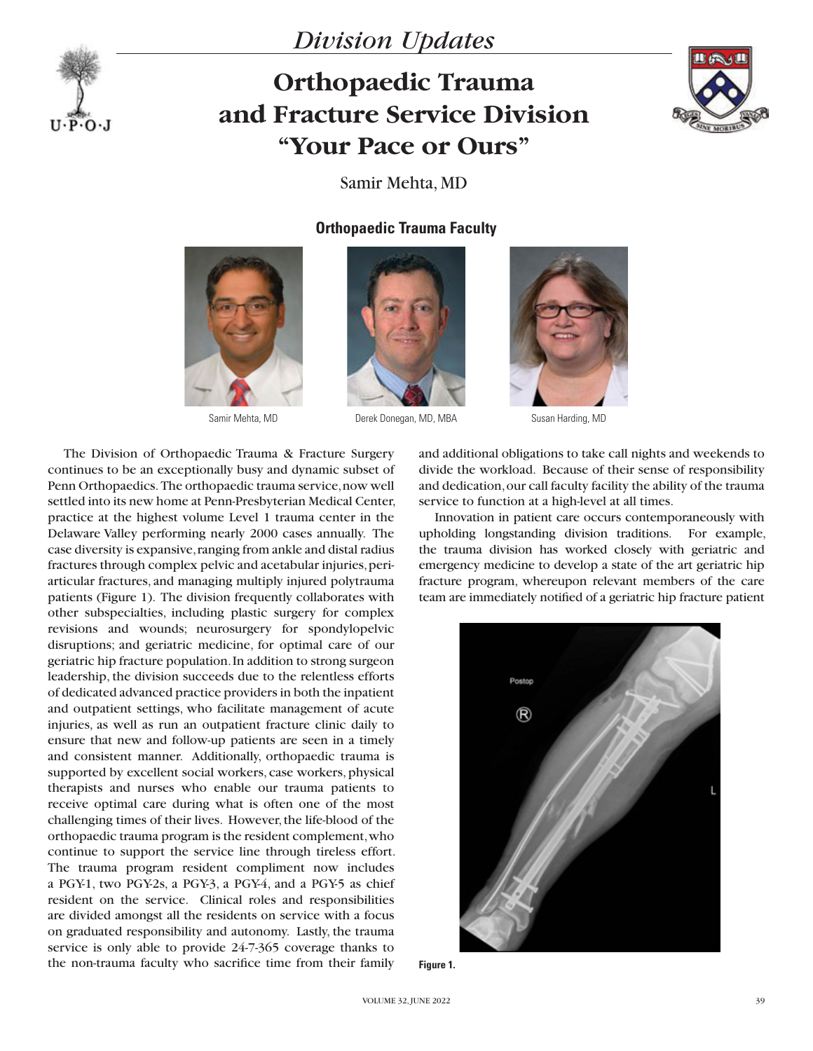

## *Division Updates*

## **Orthopaedic Trauma and Fracture Service Division "Your Pace or Ours"**



Samir Mehta, MD

## **Orthopaedic Trauma Faculty**







Samir Mehta, MD **Derek Donegan, MD, MBA** Susan Harding, MD



The Division of Orthopaedic Trauma & Fracture Surgery continues to be an exceptionally busy and dynamic subset of Penn Orthopaedics. The orthopaedic trauma service, now well settled into its new home at Penn-Presbyterian Medical Center, practice at the highest volume Level 1 trauma center in the Delaware Valley performing nearly 2000 cases annually. The case diversity is expansive, ranging from ankle and distal radius fractures through complex pelvic and acetabular injuries, periarticular fractures, and managing multiply injured polytrauma patients (Figure 1). The division frequently collaborates with other subspecialties, including plastic surgery for complex revisions and wounds; neurosurgery for spondylopelvic disruptions; and geriatric medicine, for optimal care of our geriatric hip fracture population. In addition to strong surgeon leadership, the division succeeds due to the relentless efforts of dedicated advanced practice providers in both the inpatient and outpatient settings, who facilitate management of acute injuries, as well as run an outpatient fracture clinic daily to ensure that new and follow-up patients are seen in a timely and consistent manner. Additionally, orthopaedic trauma is supported by excellent social workers, case workers, physical therapists and nurses who enable our trauma patients to receive optimal care during what is often one of the most challenging times of their lives. However, the life-blood of the orthopaedic trauma program is the resident complement, who continue to support the service line through tireless effort. The trauma program resident compliment now includes a PGY-1, two PGY-2s, a PGY-3, a PGY-4, and a PGY-5 as chief resident on the service. Clinical roles and responsibilities are divided amongst all the residents on service with a focus on graduated responsibility and autonomy. Lastly, the trauma service is only able to provide 24-7-365 coverage thanks to the non-trauma faculty who sacrifice time from their family

and additional obligations to take call nights and weekends to divide the workload. Because of their sense of responsibility and dedication, our call faculty facility the ability of the trauma service to function at a high-level at all times.

Innovation in patient care occurs contemporaneously with upholding longstanding division traditions. For example, the trauma division has worked closely with geriatric and emergency medicine to develop a state of the art geriatric hip fracture program, whereupon relevant members of the care team are immediately notified of a geriatric hip fracture patient